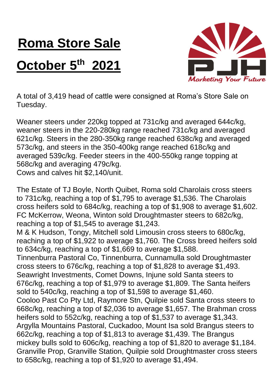## **Roma Store Sale**

## **October 5th 2021**



A total of 3,419 head of cattle were consigned at Roma's Store Sale on Tuesday.

Weaner steers under 220kg topped at 731c/kg and averaged 644c/kg, weaner steers in the 220-280kg range reached 731c/kg and averaged 621c/kg. Steers in the 280-350kg range reached 638c/kg and averaged 573c/kg, and steers in the 350-400kg range reached 618c/kg and averaged 539c/kg. Feeder steers in the 400-550kg range topping at 568c/kg and averaging 479c/kg.

Cows and calves hit \$2,140/unit.

The Estate of TJ Boyle, North Quibet, Roma sold Charolais cross steers to 731c/kg, reaching a top of \$1,795 to average \$1,536. The Charolais cross heifers sold to 684c/kg, reaching a top of \$1,908 to average \$1,602. FC McKerrow, Weona, Winton sold Droughtmaster steers to 682c/kg, reaching a top of \$1,545 to average \$1,243.

M & K Hudson, Tongy, Mitchell sold Limousin cross steers to 680c/kg, reaching a top of \$1,922 to average \$1,760. The Cross breed heifers sold to 634c/kg, reaching a top of \$1,669 to average \$1,588.

Tinnenburra Pastoral Co, Tinnenburra, Cunnamulla sold Droughtmaster cross steers to 676c/kg, reaching a top of \$1,828 to average \$1,493. Seawright Investments, Comet Downs, Injune sold Santa steers to 676c/kg, reaching a top of \$1,979 to average \$1,809. The Santa heifers sold to 540c/kg, reaching a top of \$1,598 to average \$1,460.

Cooloo Past Co Pty Ltd, Raymore Stn, Quilpie sold Santa cross steers to 668c/kg, reaching a top of \$2,036 to average \$1,657. The Brahman cross heifers sold to 552c/kg, reaching a top of \$1,537 to average \$1,343. Argylla Mountains Pastoral, Cuckadoo, Mount Isa sold Brangus steers to 662c/kg, reaching a top of \$1,813 to average \$1,439. The Brangus mickey bulls sold to 606c/kg, reaching a top of \$1,820 to average \$1,184. Granville Prop, Granville Station, Quilpie sold Droughtmaster cross steers to 658c/kg, reaching a top of \$1,920 to average \$1,494.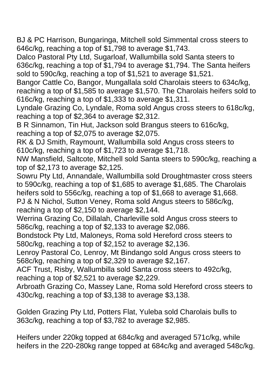BJ & PC Harrison, Bungaringa, Mitchell sold Simmental cross steers to 646c/kg, reaching a top of \$1,798 to average \$1,743.

Dalco Pastoral Pty Ltd, Sugarloaf, Wallumbilla sold Santa steers to 636c/kg, reaching a top of \$1,794 to average \$1,794. The Santa heifers sold to 590c/kg, reaching a top of \$1,521 to average \$1,521.

Bangor Cattle Co, Bangor, Mungallala sold Charolais steers to 634c/kg, reaching a top of \$1,585 to average \$1,570. The Charolais heifers sold to 616c/kg, reaching a top of \$1,333 to average \$1,311.

Lyndale Grazing Co, Lyndale, Roma sold Angus cross steers to 618c/kg, reaching a top of \$2,364 to average \$2,312.

B R Sinnamon, Tin Hut, Jackson sold Brangus steers to 616c/kg, reaching a top of \$2,075 to average \$2,075.

RK & DJ Smith, Raymount, Wallumbilla sold Angus cross steers to 610c/kg, reaching a top of \$1,723 to average \$1,718.

NW Mansfield, Saltcote, Mitchell sold Santa steers to 590c/kg, reaching a top of \$2,173 to average \$2,125.

Sowru Pty Ltd, Annandale, Wallumbilla sold Droughtmaster cross steers to 590c/kg, reaching a top of \$1,685 to average \$1,685. The Charolais heifers sold to 556c/kg, reaching a top of \$1,668 to average \$1,668. PJ & N Nichol, Sutton Veney, Roma sold Angus steers to 586c/kg, reaching a top of \$2,150 to average \$2,144.

Werrina Grazing Co, Dillalah, Charleville sold Angus cross steers to 586c/kg, reaching a top of \$2,133 to average \$2,086.

Bondstock Pty Ltd, Maloneys, Roma sold Hereford cross steers to 580c/kg, reaching a top of \$2,152 to average \$2,136.

Lenroy Pastoral Co, Lenroy, Mt Bindango sold Angus cross steers to 568c/kg, reaching a top of \$2,329 to average \$2,167.

ACF Trust, Risby, Wallumbilla sold Santa cross steers to 492c/kg, reaching a top of \$2,521 to average \$2,229.

Arbroath Grazing Co, Massey Lane, Roma sold Hereford cross steers to 430c/kg, reaching a top of \$3,138 to average \$3,138.

Golden Grazing Pty Ltd, Potters Flat, Yuleba sold Charolais bulls to 363c/kg, reaching a top of \$3,782 to average \$2,985.

Heifers under 220kg topped at 684c/kg and averaged 571c/kg, while heifers in the 220-280kg range topped at 684c/kg and averaged 548c/kg.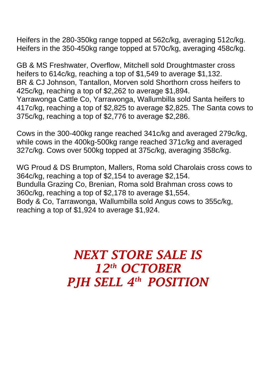Heifers in the 280-350kg range topped at 562c/kg, averaging 512c/kg. Heifers in the 350-450kg range topped at 570c/kg, averaging 458c/kg.

GB & MS Freshwater, Overflow, Mitchell sold Droughtmaster cross heifers to 614c/kg, reaching a top of \$1,549 to average \$1,132. BR & CJ Johnson, Tantallon, Morven sold Shorthorn cross heifers to 425c/kg, reaching a top of \$2,262 to average \$1,894. Yarrawonga Cattle Co, Yarrawonga, Wallumbilla sold Santa heifers to 417c/kg, reaching a top of \$2,825 to average \$2,825. The Santa cows to 375c/kg, reaching a top of \$2,776 to average \$2,286.

Cows in the 300-400kg range reached 341c/kg and averaged 279c/kg, while cows in the 400kg-500kg range reached 371c/kg and averaged 327c/kg. Cows over 500kg topped at 375c/kg, averaging 358c/kg.

WG Proud & DS Brumpton, Mallers, Roma sold Charolais cross cows to 364c/kg, reaching a top of \$2,154 to average \$2,154. Bundulla Grazing Co, Brenian, Roma sold Brahman cross cows to 360c/kg, reaching a top of \$2,178 to average \$1,554. Body & Co, Tarrawonga, Wallumbilla sold Angus cows to 355c/kg, reaching a top of \$1,924 to average \$1,924.

> *NEXT STORE SALE IS 12th OCTOBER PJH SELL 4 th POSITION*